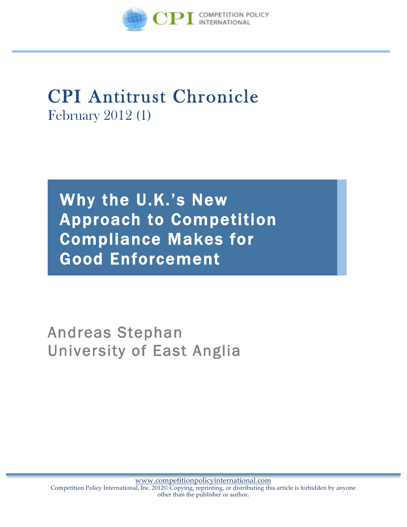

## CPI Antitrust Chronicle February <sup>2012</sup> (1)

Why the U.K.'s New Approach to Competition Compliance Makes for Good Enforcement

Andreas Stephan University of East Anglia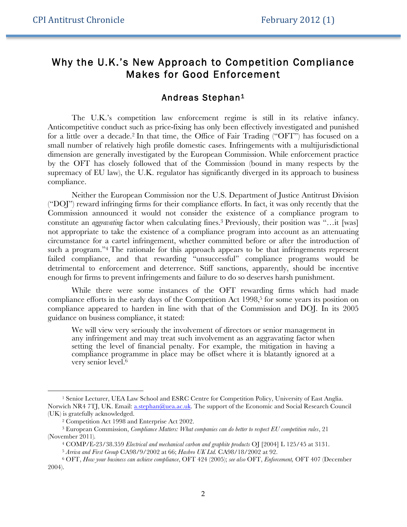## Why the U.K.'s New Approach to Competition Compliance Makes for Good Enforcement

## Andreas Stephan1

The U.K.'s competition law enforcement regime is still in its relative infancy. Anticompetitive conduct such as price-fixing has only been effectively investigated and punished for a little over a decade.2 In that time, the Office of Fair Trading ("OFT") has focused on a small number of relatively high profile domestic cases. Infringements with a multijurisdictional dimension are generally investigated by the European Commission. While enforcement practice by the OFT has closely followed that of the Commission (bound in many respects by the supremacy of EU law), the U.K. regulator has significantly diverged in its approach to business compliance.

Neither the European Commission nor the U.S. Department of Justice Antitrust Division ("DOJ") reward infringing firms for their compliance efforts. In fact, it was only recently that the Commission announced it would not consider the existence of a compliance program to constitute an *aggravating* factor when calculating fines.3 Previously, their position was "…it [was] not appropriate to take the existence of a compliance program into account as an attenuating circumstance for a cartel infringement, whether committed before or after the introduction of such a program.<sup>34</sup> The rationale for this approach appears to be that infringements represent failed compliance, and that rewarding "unsuccessful" compliance programs would be detrimental to enforcement and deterrence. Stiff sanctions, apparently, should be incentive enough for firms to prevent infringements and failure to do so deserves harsh punishment.

While there were some instances of the OFT rewarding firms which had made compliance efforts in the early days of the Competition Act 1998, <sup>5</sup> for some years its position on compliance appeared to harden in line with that of the Commission and DOJ. In its 2005 guidance on business compliance, it stated:

We will view very seriously the involvement of directors or senior management in any infringement and may treat such involvement as an aggravating factor when setting the level of financial penalty. For example, the mitigation in having a compliance programme in place may be offset where it is blatantly ignored at a very senior level. 6

 $\overline{a}$ 

<sup>&</sup>lt;sup>1</sup> Senior Lecturer, UEA Law School and ESRC Centre for Competition Policy, University of East Anglia. Norwich NR4 7TJ, UK. Email: a.stephan@uea.ac.uk. The support of the Economic and Social Research Council (UK) is gratefully acknowledged.

<sup>2</sup> Competition Act 1998 and Enterprise Act 2002.

<sup>3</sup> European Commission, *Compliance Matters: What companies can do better to respect EU competition rules*, 21 (November 2011)*.*

<sup>4</sup> COMP/E-23/38.359 *Electrical and mechanical carbon and graphite products* OJ [2004] L 125/45 at 3131.

<sup>5</sup> *Arriva and First Group* CA98/9/2002 at 66; *Hasbro UK Ltd.* CA98/18/2002 at 92.

<sup>6</sup> OFT, *How your business can achieve compliance*, OFT 424 (2005); *see also* OFT, *Enforcement,* OFT 407 (December 2004).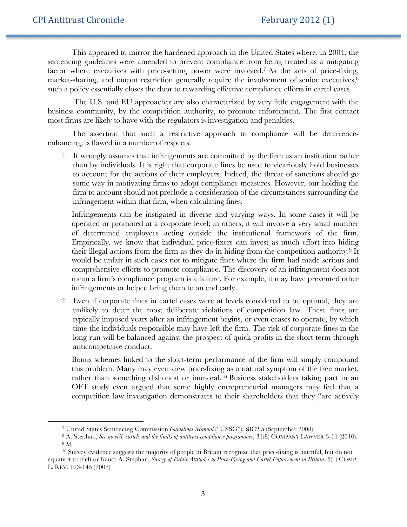$\ddot{ }$ 

This appeared to mirror the hardened approach in the United States where, in 2004, the sentencing guidelines were amended to prevent compliance from being treated as a mitigating factor where executives with price-setting power were involved.7 As the acts of price-fixing, market-sharing, and output restriction generally require the involvement of senior executives, 8 such a policy essentially closes the door to rewarding effective compliance efforts in cartel cases.

The U.S. and EU approaches are also characterized by very little engagement with the business community, by the competition authority, to promote enforcement. The first contact most firms are likely to have with the regulators is investigation and penalties.

The assertion that such a restrictive approach to compliance will be deterrenceenhancing, is flawed in a number of respects:

1. It wrongly assumes that infringements are committed by the firm as an institution rather than by individuals. It is right that corporate fines be used to vicariously hold businesses to account for the actions of their employers. Indeed, the threat of sanctions should go some way in motivating firms to adopt compliance measures. However, our holding the firm to account should not preclude a consideration of the circumstances surrounding the infringement within that firm, when calculating fines.

Infringements can be instigated in diverse and varying ways. In some cases it will be operated or promoted at a corporate level; in others, it will involve a very small number of determined employees acting outside the institutional framework of the firm. Empirically, we know that individual price-fixers can invest as much effort into hiding their illegal actions from the firm as they do in hiding from the competition authority.9 It would be unfair in such cases not to mitigate fines where the firm had made serious and comprehensive efforts to promote compliance. The discovery of an infringement does not mean a firm's compliance program is a failure. For example, it may have prevented other infringements or helped bring them to an end early.

2. Even if corporate fines in cartel cases were at levels considered to be optimal, they are unlikely to deter the most deliberate violations of competition law. These fines are typically imposed years after an infringement begins, or even ceases to operate, by which time the individuals responsible may have left the firm. The risk of corporate fines in the long run will be balanced against the prospect of quick profits in the short term through anticompetitive conduct.

Bonus schemes linked to the short-term performance of the firm will simply compound this problem. Many may even view price-fixing as a natural symptom of the free market, rather than something dishonest or immoral.<sup>10</sup> Business stakeholders taking part in an OFT study even argued that some highly entrepreneurial managers may feel that a competition law investigation demonstrates to their shareholders that they "are actively

<sup>7</sup> United States Sentencing Commission *Guidelines Manual* ("USSG"), §8C2.5 (September 2008). 8 A. Stephan, *See no evil: cartels and the limits of antitrust compliance programmes*, 31(8) COMPANY LAWYER 3-11 (2010). <sup>9</sup> *Id.*

<sup>&</sup>lt;sup>10</sup> Survey evidence suggests the majority of people in Britain recognize that price-fixing is harmful, but do not equate it to theft or fraud: A. Stephan, *Survey of Public Attitudes to Price-Fixing and Cartel Enforcement in Britain*, 5(1) COMP. L. REV. 123-145 (2008)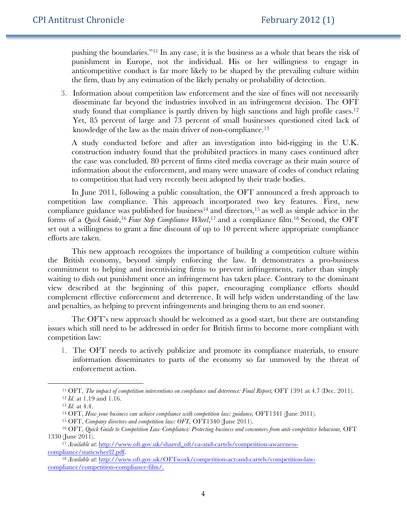pushing the boundaries."11 In any case, it is the business as a whole that bears the risk of punishment in Europe, not the individual. His or her willingness to engage in anticompetitive conduct is far more likely to be shaped by the prevailing culture within the firm, than by any estimation of the likely penalty or probability of detection.

3. Information about competition law enforcement and the size of fines will not necessarily disseminate far beyond the industries involved in an infringement decision. The OFT study found that compliance is partly driven by high sanctions and high profile cases.<sup>12</sup> Yet, 85 percent of large and 73 percent of small businesses questioned cited lack of knowledge of the law as the main driver of non-compliance.<sup>13</sup>

A study conducted before and after an investigation into bid-rigging in the U.K. construction industry found that the prohibited practices in many cases continued after the case was concluded. 80 percent of firms cited media coverage as their main source of information about the enforcement, and many were unaware of codes of conduct relating to competition that had very recently been adopted by their trade bodies.

In June 2011, following a public consultation, the OFT announced a fresh approach to competition law compliance. This approach incorporated two key features. First, new compliance guidance was published for business<sup>14</sup> and directors,<sup>15</sup> as well as simple advice in the forms of a *Quick Guide*, <sup>16</sup> *Four Step Compliance Wheel*, <sup>17</sup> and a compliance film. <sup>18</sup> Second, the OFT set out a willingness to grant a fine discount of up to 10 percent where appropriate compliance efforts are taken.

This new approach recognizes the importance of building a competition culture within the British economy, beyond simply enforcing the law. It demonstrates a pro-business commitment to helping and incentivizing firms to prevent infringements, rather than simply waiting to dish out punishment once an infringement has taken place. Contrary to the dominant view described at the beginning of this paper, encouraging compliance efforts should complement effective enforcement and deterrence. It will help widen understanding of the law and penalties, as helping to prevent infringements and bringing them to an end sooner.

The OFT's new approach should be welcomed as a good start, but there are outstanding issues which still need to be addressed in order for British firms to become more compliant with competition law:

1. The OFT needs to actively publicize and promote its compliance materials, to ensure information disseminates to parts of the economy so far unmoved by the threat of enforcement action.

 $\overline{a}$ 

<sup>&</sup>lt;sup>11</sup> OFT, *The impact of competition interventions on compliance and deterrence: Final Report, OFT 1391 at 4.7 (Dec. 2011).* <sup>12</sup> *Id.* at 1.19 and 1.16.

<sup>13</sup> *Id.* at 4.4.

<sup>&</sup>lt;sup>14</sup> OFT, *How your business can achieve compliance with competition law: guidance*, OFT1341 (June 2011).

<sup>15</sup> OFT, *Company directors and competition law: OFT,* OFT1340 (June 2011).

<sup>16</sup> OFT, *Quick Guide to Competition Law Compliance: Protecting business and consumers from anti-competitive behaviour,* OFT 1330 (June 2011).

<sup>17</sup> *Available at*: http://www.oft.gov.uk/shared\_oft/ca-and-cartels/competition-awarenesscompliance/staticwheel2.pdf.

<sup>18</sup> *Available at*: http://www.oft.gov.uk/OFTwork/competition-act-and-cartels/competition-lawcompliance/competition-compliance-film/.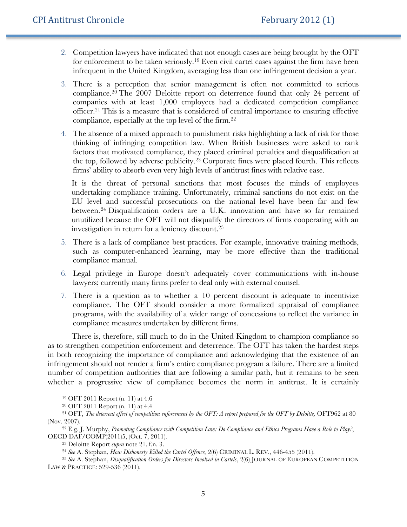- 2. Competition lawyers have indicated that not enough cases are being brought by the OFT for enforcement to be taken seriously.19 Even civil cartel cases against the firm have been infrequent in the United Kingdom, averaging less than one infringement decision a year.
- 3. There is a perception that senior management is often not committed to serious compliance.20 The 2007 Deloitte report on deterrence found that only 24 percent of companies with at least 1,000 employees had a dedicated competition compliance officer. <sup>21</sup> This is a measure that is considered of central importance to ensuring effective compliance, especially at the top level of the firm.22
- 4. The absence of a mixed approach to punishment risks highlighting a lack of risk for those thinking of infringing competition law. When British businesses were asked to rank factors that motivated compliance, they placed criminal penalties and disqualification at the top, followed by adverse publicity.23 Corporate fines were placed fourth. This reflects firms' ability to absorb even very high levels of antitrust fines with relative ease.

It is the threat of personal sanctions that most focuses the minds of employees undertaking compliance training. Unfortunately, criminal sanctions do not exist on the EU level and successful prosecutions on the national level have been far and few between.<sup>24</sup> Disqualification orders are a U.K. innovation and have so far remained unutilized because the OFT will not disqualify the directors of firms cooperating with an investigation in return for a leniency discount.25

- 5. There is a lack of compliance best practices. For example, innovative training methods, such as computer-enhanced learning, may be more effective than the traditional compliance manual.
- 6. Legal privilege in Europe doesn't adequately cover communications with in-house lawyers; currently many firms prefer to deal only with external counsel.
- 7. There is a question as to whether a 10 percent discount is adequate to incentivize compliance. The OFT should consider a more formalized appraisal of compliance programs, with the availability of a wider range of concessions to reflect the variance in compliance measures undertaken by different firms.

There is, therefore, still much to do in the United Kingdom to champion compliance so as to strengthen competition enforcement and deterrence. The OFT has taken the hardest steps in both recognizing the importance of compliance and acknowledging that the existence of an infringement should not render a firm's entire compliance program a failure. There are a limited number of competition authorities that are following a similar path, but it remains to be seen whether a progressive view of compliance becomes the norm in antitrust. It is certainly

 $\overline{a}$ 

<sup>19</sup> OFT 2011 Report (n. 11) at 4.6

<sup>20</sup> OFT 2011 Report (n. 11) at 4.4

<sup>21</sup> OFT, *The deterrent effect of competition enforcement by the OFT: A report prepared for the OFT by Deloitte,* OFT962 at 80 (Nov. 2007).

<sup>22</sup> E.g. J. Murphy, *Promoting Compliance with Competition Law: Do Compliance and Ethics Programs Have a Role to Play?*, OECD DAF/COMP(2011)5, (Oct. 7, 2011).

<sup>23</sup> Deloitte Report *supra* note 21, f.n. 3.

<sup>24</sup> *See* A. Stephan, *How Dishonesty Killed the Cartel Offence,* 2(6) CRIMINAL L. REV., 446-455 (2011).

<sup>&</sup>lt;sup>25</sup> See A. Stephan, *Disqualification Orders for Directors Involved in Cartels*, 2(6) JOURNAL OF EUROPEAN COMPETITION LAW & PRACTICE: 529-536 (2011).